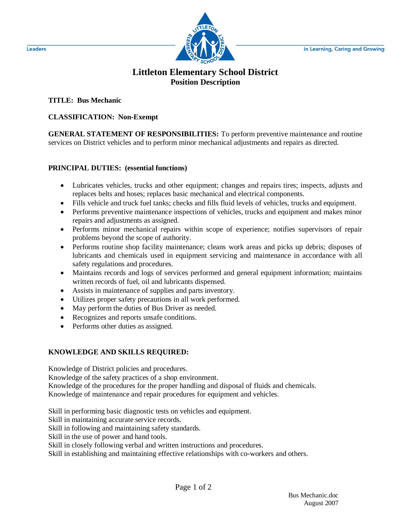

## **Littleton Elementary School District Position Description**

**TITLE: Bus Mechanic**

## **CLASSIFICATION: Non-Exempt**

**GENERAL STATEMENT OF RESPONSIBILITIES:** To perform preventive maintenance and routine services on District vehicles and to perform minor mechanical adjustments and repairs as directed.

## **PRINCIPAL DUTIES: (essential functions)**

- Lubricates vehicles, trucks and other equipment; changes and repairs tires; inspects, adjusts and replaces belts and hoses; replaces basic mechanical and electrical components.
- Fills vehicle and truck fuel tanks; checks and fills fluid levels of vehicles, trucks and equipment.
- Performs preventive maintenance inspections of vehicles, trucks and equipment and makes minor repairs and adjustments as assigned.
- Performs minor mechanical repairs within scope of experience; notifies supervisors of repair problems beyond the scope of authority.
- Performs routine shop facility maintenance; cleans work areas and picks up debris; disposes of lubricants and chemicals used in equipment servicing and maintenance in accordance with all safety regulations and procedures.
- Maintains records and logs of services performed and general equipment information; maintains written records of fuel, oil and lubricants dispensed.
- Assists in maintenance of supplies and parts inventory.
- Utilizes proper safety precautions in all work performed.
- May perform the duties of Bus Driver as needed.
- Recognizes and reports unsafe conditions.
- Performs other duties as assigned.

## **KNOWLEDGE AND SKILLS REQUIRED:**

Knowledge of District policies and procedures.

Knowledge of the safety practices of a shop environment.

Knowledge of the procedures for the proper handling and disposal of fluids and chemicals. Knowledge of maintenance and repair procedures for equipment and vehicles.

Skill in performing basic diagnostic tests on vehicles and equipment.

Skill in maintaining accurate service records.

Skill in following and maintaining safety standards.

Skill in the use of power and hand tools.

Skill in closely following verbal and written instructions and procedures.

Skill in establishing and maintaining effective relationships with co-workers and others.